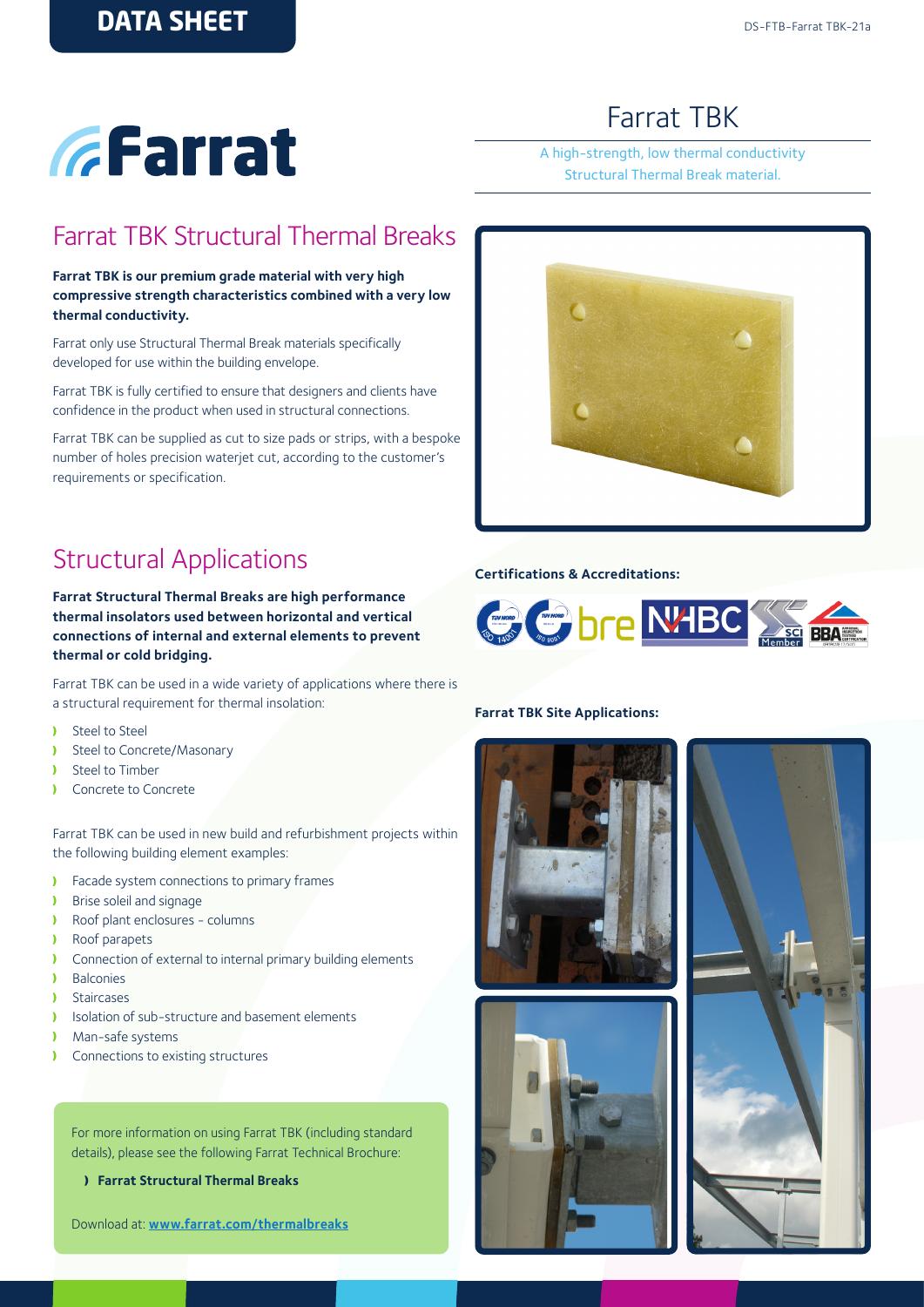# *GFarrat*

# Farrat TBK

A high-strength, low thermal conductivity Structural Thermal Break material.

### Farrat TBK Structural Thermal Breaks

**Farrat TBK is our premium grade material with very high compressive strength characteristics combined with a very low thermal conductivity.** 

Farrat only use Structural Thermal Break materials specifically developed for use within the building envelope.

Farrat TBK is fully certified to ensure that designers and clients have confidence in the product when used in structural connections.

Farrat TBK can be supplied as cut to size pads or strips, with a bespoke number of holes precision waterjet cut, according to the customer's requirements or specification.

## Structural Applications

**Farrat Structural Thermal Breaks are high performance thermal insolators used between horizontal and vertical connections of internal and external elements to prevent thermal or cold bridging.** 

Farrat TBK can be used in a wide variety of applications where there is a structural requirement for thermal insolation:

- Steel to Steel ١
- Y Steel to Concrete/Masonary
- Y Steel to Timber
- Ŷ Concrete to Concrete

Farrat TBK can be used in new build and refurbishment projects within the following building element examples:

- **Facade system connections to primary frames**
- **Brise soleil and signage**
- Roof plant enclosures columns
- Roof parapets  $\mathbf{r}$
- Connection of external to internal primary building elements  $\mathbf{v}$
- **Balconies**
- Staircases
- Isolation of sub-structure and basement elements  $\mathbf{v}$
- Man-safe systems
- Connections to existing structures x

For more information on using Farrat TBK (including standard details), please see the following Farrat Technical Brochure:

**Farrat Structural Thermal Breaks**

Download at: **[www.farrat.com](http://www.farrat.com/downloads.html)/thermalbreaks**

#### **Farrat TBK Site Applications:**







#### **Certifications & Accreditations:**